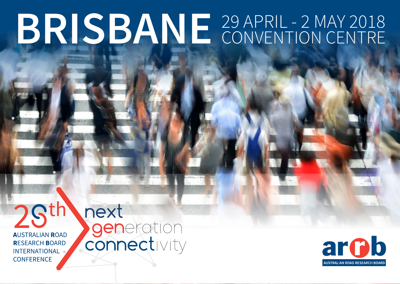# 29 APRIL - 2 MAY 2018 **BRISBANE** CONVENTION CENTRE

2Sth **AUSTRALIAN ROAD RESEARCH BOARD INTERNATIONAL CONFERENCE** 

next **generation** 

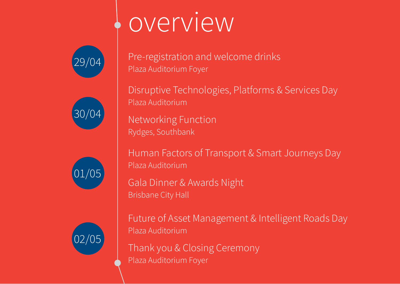## overview









Pre-registration and welcome drinks Plaza Auditorium Foyer

Disruptive Technologies, Platforms & Services Day Plaza Auditorium

Networking Function Rydges, Southbank

Human Factors of Transport & Smart Journeys Day Plaza Auditorium

Gala Dinner & Awards Night Brisbane City Hall

Future of Asset Management & Intelligent Roads Day Plaza Auditorium

Thank you & Closing Ceremony Plaza Auditorium Foyer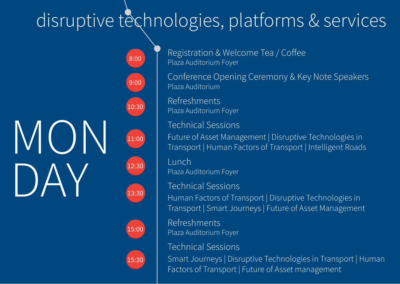### disruptive technologies, platforms & services



8:00 9:0010:30 11:00 12:30 13:30



15:30

Registration & Welcome Tea / Coffee Plaza Auditorium Foyer

Conference Opening Ceremony & Key Note Speakers Plaza Auditorium

RefreshmentsPlaza Auditorium Foyer

Technical Sessions

Future of Asset Management | Disruptive Technologies in Transport | Human Factors of Transport | Intelligent Roads

LunchPlaza Auditorium Foyer

Technical SessionsHuman Factors of Transport | Disruptive Technologies in Transport | Smart Journeys | Future of Asset Management

RefreshmentsPlaza Auditorium Foyer

Technical SessionsSmart Journeys | Disruptive Technologies in Transport | Human Factors of Transport | Future of Asset management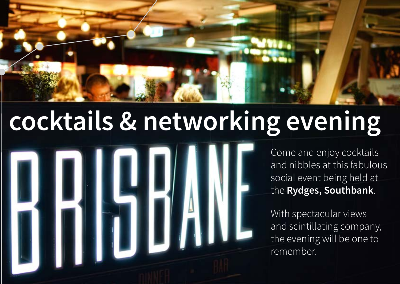## **cocktails & networking evening**



Come and enjoy cocktails and nibbles at this fabulous social event being held at the **Rydges, Southbank**.

With spectacular views and scintillating company, the evening will be one to remember.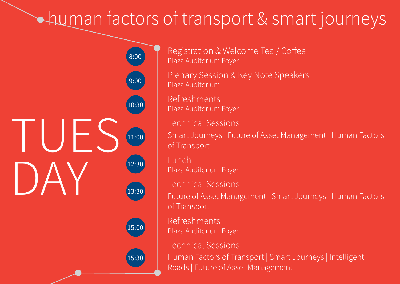#### human factors of transport & smart journeys



Registration & Welcome Tea / Coffee Plaza Auditorium Foyer

Plenary Session & Key Note Speakers Plaza Auditorium

RefreshmentsPlaza Auditorium Foyer

Technical SessionsSmart Journeys | Future of Asset Management | Human Factors of Transport

LunchPlaza Auditorium Foyer

Technical SessionsFuture of Asset Management | Smart Journeys | Human Factors of Transport

RefreshmentsPlaza Auditorium Foyer

Technical Sessions

Human Factors of Transport | Smart Journeys | Intelligent Roads | Future of Asset Management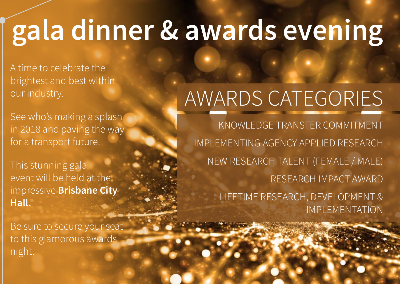## **gala dinner & awards evening**

A time to celebrate the brightest and best within our industry.

See who's making a splash in 2018 and paving the way for a transport future.

This stunning gala event will be held at the impressive **Brisbane City Hall.**

Be sure to secure your seat to this glamorous awards night.

## AWARDS CATEGORIES

KNOWLEDGE TRANSFER COMMITMENTIMPLEMENTING AGENCY APPLIED RESEARCHNEW RESEARCH TALENT (FEMALE / MALE) RESEARCH IMPACT AWARDLIFETIME RESEARCH, DEVELOPMENT & IMPLEMENTATION